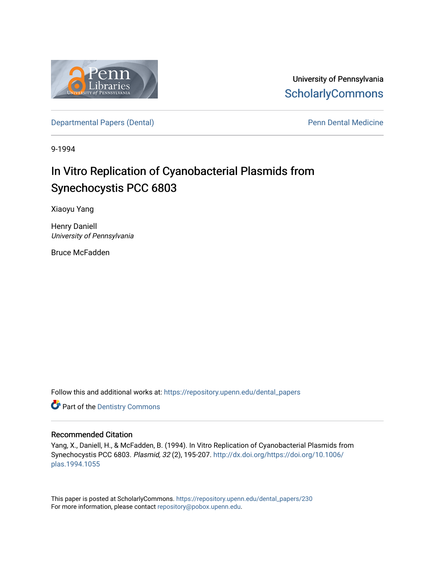

University of Pennsylvania **ScholarlyCommons** 

[Departmental Papers \(Dental\)](https://repository.upenn.edu/dental_papers) and Europe and Penn Dental Medicine

9-1994

# In Vitro Replication of Cyanobacterial Plasmids from Synechocystis PCC 6803

Xiaoyu Yang

Henry Daniell University of Pennsylvania

Bruce McFadden

Follow this and additional works at: [https://repository.upenn.edu/dental\\_papers](https://repository.upenn.edu/dental_papers?utm_source=repository.upenn.edu%2Fdental_papers%2F230&utm_medium=PDF&utm_campaign=PDFCoverPages)

**Part of the Dentistry Commons** 

## Recommended Citation

Yang, X., Daniell, H., & McFadden, B. (1994). In Vitro Replication of Cyanobacterial Plasmids from Synechocystis PCC 6803. Plasmid, 32 (2), 195-207. [http://dx.doi.org/https://doi.org/10.1006/](http://dx.doi.org/https://doi.org/10.1006/plas.1994.1055) [plas.1994.1055](http://dx.doi.org/https://doi.org/10.1006/plas.1994.1055) 

This paper is posted at ScholarlyCommons. [https://repository.upenn.edu/dental\\_papers/230](https://repository.upenn.edu/dental_papers/230)  For more information, please contact [repository@pobox.upenn.edu.](mailto:repository@pobox.upenn.edu)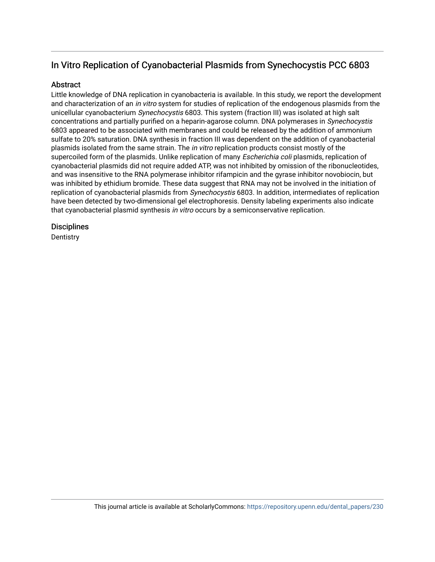## In Vitro Replication of Cyanobacterial Plasmids from Synechocystis PCC 6803

## Abstract

Little knowledge of DNA replication in cyanobacteria is available. In this study, we report the development and characterization of an in vitro system for studies of replication of the endogenous plasmids from the unicellular cyanobacterium Synechocystis 6803. This system (fraction III) was isolated at high salt concentrations and partially purified on a heparin-agarose column. DNA polymerases in Synechocystis 6803 appeared to be associated with membranes and could be released by the addition of ammonium sulfate to 20% saturation. DNA synthesis in fraction III was dependent on the addition of cyanobacterial plasmids isolated from the same strain. The *in vitro* replication products consist mostly of the supercoiled form of the plasmids. Unlike replication of many *Escherichia coli* plasmids, replication of cyanobacterial plasmids did not require added ATP, was not inhibited by omission of the ribonucleotides, and was insensitive to the RNA polymerase inhibitor rifampicin and the gyrase inhibitor novobiocin, but was inhibited by ethidium bromide. These data suggest that RNA may not be involved in the initiation of replication of cyanobacterial plasmids from Synechocystis 6803. In addition, intermediates of replication have been detected by two-dimensional gel electrophoresis. Density labeling experiments also indicate that cyanobacterial plasmid synthesis in vitro occurs by a semiconservative replication.

## **Disciplines**

**Dentistry**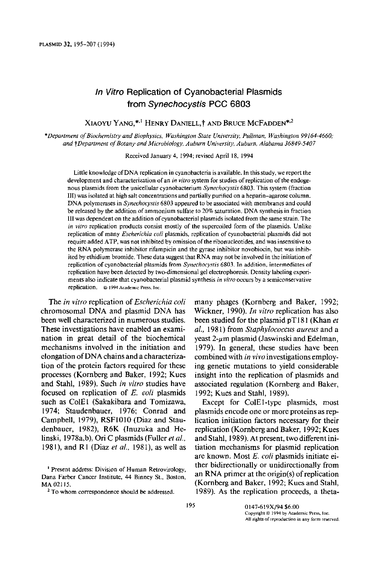## In Vitro Replication of Cyanobacterial Plasmids from Synechocystis PCC 6803

XIAOYU YANG,\*<sup>1</sup> HENRY DANIELL,<sup>†</sup> AND BRUCE MCFADDEN<sup>\*,2</sup>

\*Department of Biochemistry and Biophysics, Washington State University, Pullman, Washington 99164-4660; and †Department of Botany and Microbiology, Auburn University, Auburn, Alabama 36849-5407

Received January 4, 1994; revised April 18, 1994

Little knowledge of DNA replication in cyanobacteria is available. In this study, we report the development and characterization of an in vitro system for studies of replication of the endogenous plasmids from the unicellular cyanobacterium Synechocystis 6803. This system (fraction III) was isolated at high salt concentrations and partially purified on a heparin-agarose column. DNA polymerases in Synechocystis 6803 appeared to be associated with membranes and could be released by the addition of ammonium sulfate to 20% saturation. DNA synthesis in fraction III was dependent on the addition of cyanobacterial plasmids isolated from the same strain. The in vitro replication products consist mostly of the supercoiled form of the plasmids. Unlike replication of many *Escherichia coli* plasmids, replication of cyanobacterial plasmids did not require added ATP, was not inhibited by omission of the ribonucleotides, and was insensitive to the RNA polymerase inhibitor rifampicin and the gyrase inhibitor novobiocin, but was inhibited by ethidium bromide. These data suggest that RNA may not be involved in the initiation of replication of cyanobacterial plasmids from Synechocystis 6803. In addition, intermediates of replication have been detected by two-dimensional gel electrophoresis. Density labeling experiments also indicate that cyanobacterial plasmid synthesis in vitro occurs by a semiconservative replication, @ 1994 Academic Press, Inc.

The *in vitro* replication of *Escherichia coli* chromosomal DNA and plasmid DNA has been well characterized in numerous studies. These investigations have enabled an examination in great detail of the biochemical mechanisms involved in the initiation and elongation of DNA chains and a characterization of the protein factors required for these processes (Kornberg and Baker, 1992; Kues and Stahl, 1989). Such in vitro studies have focused on replication of E. coli plasmids such as ColE1 (Sakakibara and Tomizawa, 1974; Staudenbauer, 1976; Conrad and Campbell, 1979), RSF1010 (Diaz and Staudenbauer, 1982), R6K (Inuzuka and Helinski, 1978a,b), Ori C plasmids (Fuller et al., 1981), and R1 (Diaz et al., 1981), as well as

Present address: Division of Human Retrovirology, Dana Farber Cancer Institute, 44 Binney St., Boston, MA 02115.

<sup>2</sup> To whom correspondence should be addressed.

many phages (Kornberg and Baker, 1992; Wickner, 1990). *In vitro* replication has also been studied for the plasmid pT181 (Khan et al., 1981) from Staphylococcus aureus and a yeast  $2$ -µm plasmid (Jaswinski and Edelman, 1979). In general, these studies have been combined with in vivo investigations employing genetic mutations to yield considerable insight into the replication of plasmids and associated regulation (Kornberg and Baker, 1992; Kues and Stahl, 1989).

Except for ColE1-type plasmids, most plasmids encode one or more proteins as replication initiation factors necessary for their replication (Kornberg and Baker, 1992; Kues and Stahl, 1989). At present, two different initiation mechanisms for plasmid replication are known. Most E. coli plasmids initiate either bidirectionally or unidirectionally from an RNA primer at the origin(s) of replication (Kornberg and Baker, 1992; Kues and Stahl, 1989). As the replication proceeds, a theta-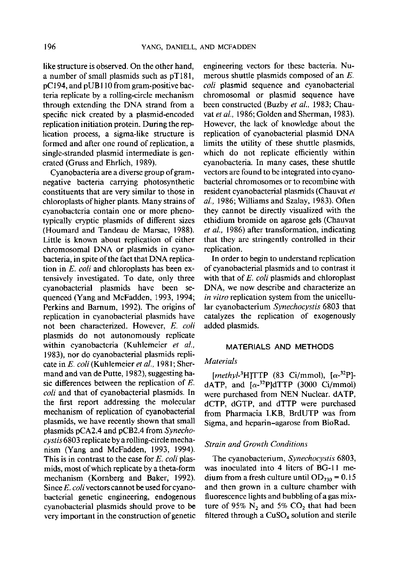like structure is observed. On the other hand, a number of small plasmids such as pT181, pC194, and pUB110 from gram-positive bacteria replicate by a rolling-circle mechanism through extending the DNA strand from a specific nick created by a plasmid-encoded replication initiation protein. During the replication process, a sigma-like structure is formed and after one round of replication, a single-stranded plasmid intermediate is generated (Gruss and Ehrlich, 1989).

Cyanobacteria are a diverse group of gramnegative bacteria carrying photosynthetic constituents that are very similar to those in chloroplasts of higher plants. Many strains of cyanobacteria contain one or more phenotypically cryptic plasmids of different sizes (Houmard and Tandeau de Marsac, 1988). Little is known about replication of either chromosomal DNA or plasmids in evanobacteria, in spite of the fact that DNA replication in E. coli and chloroplasts has been extensively investigated. To date, only three cyanobacterial plasmids have been sequenced (Yang and McFadden, 1993, 1994; Perkins and Barnum. 1992). The origins of replication in cyanobacterial plasmids have not been characterized. However, E. coli plasmids do not autonomously replicate within cyanobacteria (Kuhlemeier et al., 1983), nor do cyanobacterial plasmids replicate in E. coli (Kuhlemeier et al., 1981; Shermand and van de Putte, 1982), suggesting basic differences between the replication of  $E$ . coli and that of cyanobacterial plasmids. In the first report addressing the molecular mechanism of replication of cyanobacterial plasmids, we have recently shown that small plasmids pCA2.4 and pCB2.4 from Synechocystis 6803 replicate by a rolling-circle mechanism (Yang and McFadden, 1993, 1994). This is in contrast to the case for E. coli plasmids, most of which replicate by a theta-form mechanism (Kornberg and Baker, 1992). Since E. coli vectors cannot be used for cyanobacterial genetic engineering, endogenous cyanobacterial plasmids should prove to be very important in the construction of genetic

engineering vectors for these bacteria. Numerous shuttle plasmids composed of an  $E$ . coli plasmid sequence and cyanobacterial chromosomal or plasmid sequence have been constructed (Buzby et al., 1983; Chauvat et al., 1986; Golden and Sherman, 1983). However, the lack of knowledge about the replication of cyanobacterial plasmid DNA limits the utility of these shuttle plasmids, which do not replicate efficiently within cyanobacteria. In many cases, these shuttle vectors are found to be integrated into cyanobacterial chromosomes or to recombine with resident cyanobacterial plasmids (Chauvat et al., 1986; Williams and Szalay, 1983). Often they cannot be directly visualized with the ethidium bromide on agarose gels (Chauvat et al., 1986) after transformation, indicating that they are stringently controlled in their replication.

In order to begin to understand replication of cyanobacterial plasmids and to contrast it with that of  $E$ . coli plasmids and chloroplast DNA, we now describe and characterize an in vitro replication system from the unicellular cyanobacterium Synechocystis 6803 that catalyzes the replication of exogenously added plasmids.

#### **MATERIALS AND METHODS**

## **Materials**

[methyl-<sup>3</sup>H]TTP (83 Ci/mmol),  $[\alpha$ -<sup>32</sup>P]dATP, and  $[\alpha^{-32}P]$ dTTP (3000 Ci/mmol) were purchased from NEN Nuclear. dATP, dCTP, dGTP, and dTTP were purchased from Pharmacia LKB, BrdUTP was from Sigma, and heparin-agarose from BioRad.

#### **Strain and Growth Conditions**

The cyanobacterium, Synechocystis 6803, was inoculated into 4 liters of BG-11 medium from a fresh culture until  $OD_{730} = 0.15$ and then grown in a culture chamber with fluorescence lights and bubbling of a gas mixture of 95%  $N_2$  and 5%  $CO_2$  that had been filtered through a CuSO<sub>4</sub> solution and sterile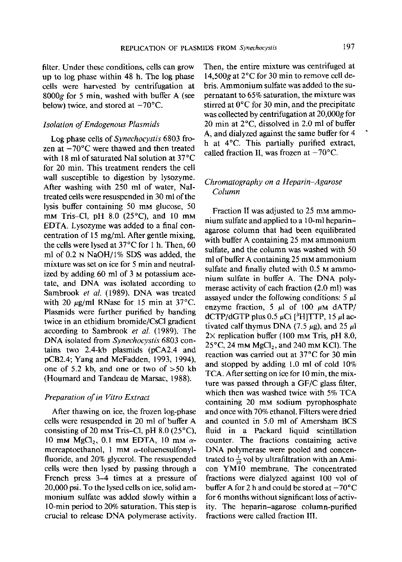filter. Under these conditions, cells can grow up to log phase within 48 h. The log phase cells were harvested by centrifugation at 8000g for 5 min, washed with buffer A (see below) twice, and stored at  $-70^{\circ}$ C.

### **Isolation of Endogenous Plasmids**

Log phase cells of *Synechocystis* 6803 frozen at  $-70^{\circ}$ C were thawed and then treated with 18 ml of saturated NaI solution at 37°C for 20 min. This treatment renders the cell wall susceptible to digestion by lysozyme. After washing with 250 ml of water, NaItreated cells were resuspended in 30 ml of the lysis buffer containing 50 mm glucose, 50 mm Tris-Cl, pH  $8.0$  (25 $\degree$ C), and 10 mm EDTA. Lysozyme was added to a final concentration of 15 mg/ml. After gentle mixing, the cells were lysed at  $37^{\circ}$ C for 1 h. Then, 60 ml of 0.2 N NaOH/1% SDS was added, the mixture was set on ice for 5 min and neutralized by adding 60 ml of 3 M potassium acetate, and DNA was isolated according to Sambrook et al. (1989). DNA was treated with 20  $\mu$ g/ml RNase for 15 min at 37°C. Plasmids were further purified by banding twice in an ethidium bromide/CsCl gradient according to Sambrook et al. (1989). The DNA isolated from Synechocystis 6803 contains two 2.4-kb plasmids (pCA2.4 and pCB2.4; Yang and McFadden, 1993, 1994), one of 5.2 kb, and one or two of  $>50$  kb (Houmard and Tandeau de Marsac, 1988).

### Preparation of in Vitro Extract

After thawing on ice, the frozen log-phase cells were resuspended in 20 ml of buffer A consisting of 20 mm Tris-Cl, pH  $8.0$  (25 $^{\circ}$ C), 10 mm  $MgCl<sub>2</sub>$ , 0.1 mm EDTA, 10 mm  $\alpha$ mercaptoethanol, 1 mM  $\alpha$ -toluenesulfonylfluoride, and 20% glycerol. The resuspended cells were then lysed by passing through a French press 3–4 times at a pressure of 20,000 psi. To the lysed cells on ice, solid ammonium sulfate was added slowly within a 10-min period to 20% saturation. This step is crucial to release DNA polymerase activity. Then, the entire mixture was centrifuged at 14,500g at  $2^{\circ}$ C for 30 min to remove cell debris. Ammonium sulfate was added to the supernatant to 65% saturation, the mixture was stirred at  $0^{\circ}$ C for 30 min, and the precipitate was collected by centrifugation at 20,000g for 20 min at  $2^{\circ}$ C, dissolved in 2.0 ml of buffer A, and dialyzed against the same buffer for 4 h at 4°C. This partially purified extract, called fraction II, was frozen at  $-70^{\circ}$ C.

## Chromatography on a Heparin-Agarose Column

Fraction II was adjusted to 25 mm ammonium sulfate and applied to a 10-ml heparinagarose column that had been equilibrated with buffer A containing 25 mM ammonium sulfate, and the column was washed with 50 ml of buffer A containing 25 mM ammonium sulfate and finally eluted with 0.5 M ammonium sulfate in buffer A. The DNA polymerase activity of each fraction (2.0 ml) was assaved under the following conditions:  $5 \mu l$ enzyme fraction, 5  $\mu$ l of 100  $\mu$ M dATP/ dCTP/dGTP plus 0.5  $\mu$ Ci [<sup>3</sup>H]TTP, 15  $\mu$ l activated calf thymus DNA (7.5  $\mu$ g), and 25  $\mu$ l  $2\times$  replication buffer (100 mm Tris, pH 8.0,  $25^{\circ}$ C, 24 mM MgCl<sub>2</sub>, and 240 mM KCl). The reaction was carried out at 37°C for 30 min and stopped by adding 1.0 ml of cold 10% TCA. After setting on ice for 10 min, the mixture was passed through a GF/C glass filter, which then was washed twice with 5% TCA containing 20 mm sodium pyrophosphate and once with 70% ethanol. Filters were dried and counted in 5.0 ml of Amersham BCS fluid in a Packard liquid scintillation counter. The fractions containing active DNA polymerase were pooled and concentrated to  $\frac{1}{10}$  vol by ultrafiltration with an Amicon YM10 membrane. The concentrated fractions were dialyzed against 100 vol of buffer A for 2 h and could be stored at  $-70^{\circ}$ C for 6 months without significant loss of activity. The heparin-agarose column-purified fractions were called fraction III.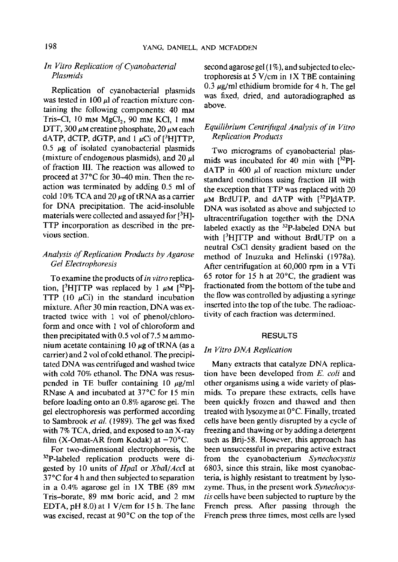## In Vitro Replication of Cyanobacterial Plasmids

Replication of cyanobacterial plasmids was tested in 100  $\mu$ l of reaction mixture containing the following components: 40 mM Tris-Cl, 10 mm MgCl<sub>2</sub>, 90 mm KCl, 1 mm DTT, 300  $\mu$ M creatine phosphate, 20  $\mu$ M each dATP, dCTP, dGTP, and  $1 \mu$ Ci of [<sup>3</sup>H]TTP, 0.5  $\mu$ g of isolated cyanobacterial plasmids (mixture of endogenous plasmids), and 20  $\mu$ l of fraction III. The reaction was allowed to proceed at 37°C for 30–40 min. Then the reaction was terminated by adding 0.5 ml of cold 10% TCA and 20  $\mu$ g of tRNA as a carrier for DNA precipitation. The acid-insoluble materials were collected and assayed for  $[{}^{3}H]$ -TTP incorporation as described in the previous section.

## Analysis of Replication Products by Agarose **Gel Electrophoresis**

To examine the products of *in vitro* replication, <sup>[3</sup>H]TTP was replaced by 1  $\mu$ M [<sup>32</sup>P]-TTP  $(10 \text{ }\mu\text{Ci})$  in the standard incubation mixture. After 30 min reaction, DNA was extracted twice with 1 vol of phenol/chloroform and once with 1 vol of chloroform and then precipitated with 0.5 vol of 7.5  $M$  ammonium acetate containing 10  $\mu$ g of tRNA (as a carrier) and 2 vol of cold ethanol. The precipitated DNA was centrifuged and washed twice with cold 70% ethanol. The DNA was resuspended in TE buffer containing 10  $\mu$ g/ml RNase A and incubated at 37°C for 15 min before loading onto an 0.8% agarose gel. The gel electrophoresis was performed according to Sambrook et al. (1989). The gel was fixed with 7% TCA, dried, and exposed to an X-ray film (X-Omat-AR from Kodak) at  $-70^{\circ}$ C.

For two-dimensional electrophoresis, the <sup>32</sup>P-labeled replication products were digested by 10 units of *Hpal* or *Xbal/Accl* at 37°C for 4 h and then subjected to separation in a 0.4% agarose gel in  $1X$  TBE (89 mm Tris-borate, 89 mm boric acid, and 2 mm EDTA, pH 8.0) at 1 V/cm for 15 h. The lane was excised, recast at  $90^{\circ}$ C on the top of the second agarose gel (1%), and subjected to electrophoresis at 5 V/cm in 1X TBE containing  $0.3 \mu g/ml$  ethidium bromide for 4 h. The gel was fixed, dried, and autoradiographed as above.

## Equilibrium Centrifugal Analysis of in Vitro **Replication Products**

Two micrograms of cyanobacterial plasmids was incubated for 40 min with  $[32P]$  $dATP$  in 400  $\mu$ l of reaction mixture under standard conditions using fraction III with the exception that TTP was replaced with 20  $\mu$ M BrdUTP, and dATP with  $[$ <sup>32</sup>P]dATP. DNA was isolated as above and subjected to ultracentrifugation together with the DNA labeled exactly as the <sup>32</sup>P-labeled DNA but with [3H]TTP and without BrdUTP on a neutral CsCl density gradient based on the method of Inuzuka and Helinski (1978a). After centrifugation at 60,000 rpm in a VTi 65 rotor for 15 h at  $20^{\circ}$ C, the gradient was fractionated from the bottom of the tube and the flow was controlled by adjusting a syringe inserted into the top of the tube. The radioactivity of each fraction was determined.

#### **RESULTS**

## In Vitro DNA Replication

Many extracts that catalyze DNA replication have been developed from E. coli and other organisms using a wide variety of plasmids. To prepare these extracts, cells have been quickly frozen and thawed and then treated with lysozyme at 0°C. Finally, treated cells have been gently disrupted by a cycle of freezing and thawing or by adding a detergent such as Brij-58. However, this approach has been unsuccessful in preparing active extract from the cyanobacterium Synechocystis 6803, since this strain, like most evanobacteria, is highly resistant to treatment by lysozyme. Thus, in the present work Synechocystis cells have been subjected to rupture by the French press. After passing through the French press three times, most cells are lysed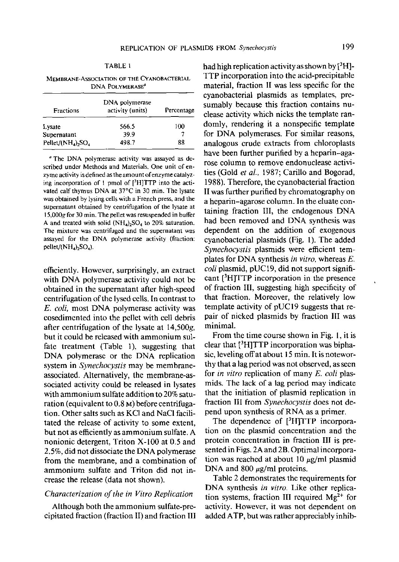| MEMBRANE-ASSOCIATION OF THE CYANOBACTERIAL |
|--------------------------------------------|
| DNA POLYMERASE <sup>®</sup>                |

| Fractions               | DNA polymerase<br>activity (units) | Percentage |  |
|-------------------------|------------------------------------|------------|--|
| Lysate                  | 566.5                              | 100        |  |
| Supernatant             | 39.9                               |            |  |
| Pellet/( $NH4$ ), $SO4$ | 498.7                              | 88         |  |

<sup>a</sup> The DNA polymerase activity was assayed as described under Methods and Materials. One unit of enzyme activity is defined as the amount of enzyme catalyzing incorporation of 1 pmol of [3H]TTP into the activated calf thymus DNA at 37°C in 30 min. The lysate was obtained by lysing cells with a French press, and the supernatant obtained by centrifugation of the lysate at 15,000g for 30 min. The pellet was resuspended in buffer A and treated with solid  $(NH_4)_2SO_4$  to 20% saturation. The mixture was centrifuged and the supernatant was assayed for the DNA polymerase activity (fraction: pellet/ $(NH_4)$ , SO<sub>4</sub>).

efficiently. However, surprisingly, an extract with DNA polymerase activity could not be obtained in the supernatant after high-speed centrifugation of the lysed cells. In contrast to E. coli, most DNA polymerase activity was cosedimented into the pellet with cell debris after centrifugation of the lysate at 14,500g, but it could be released with ammonium sulfate treatment (Table 1), suggesting that DNA polymerase or the DNA replication system in *Synechocystis* may be membraneassociated. Alternatively, the membrane-associated activity could be released in lysates with ammonium sulfate addition to 20% saturation (equivalent to 0.8 M) before centrifugation. Other salts such as KCl and NaCl facilitated the release of activity to some extent, but not as efficiently as ammonium sulfate. A nonionic detergent, Triton X-100 at 0.5 and 2.5%, did not dissociate the DNA polymerase from the membrane, and a combination of ammonium sulfate and Triton did not increase the release (data not shown).

#### Characterization of the in Vitro Replication

Although both the ammonium sulfate-precipitated fraction (fraction II) and fraction III had high replication activity as shown by  $[{}^{3}H]$ -TTP incorporation into the acid-precipitable material, fraction II was less specific for the cyanobacterial plasmids as templates, presumably because this fraction contains nuclease activity which nicks the template randomly, rendering it a nonspecific template for DNA polymerases. For similar reasons, analogous crude extracts from chloroplasts have been further purified by a heparin-agarose column to remove endonuclease activities (Gold et al., 1987; Carillo and Bogorad, 1988). Therefore, the cyanobacterial fraction II was further purified by chromatography on a heparin-agarose column. In the eluate containing fraction III, the endogenous DNA had been removed and DNA synthesis was dependent on the addition of exogenous cyanobacterial plasmids (Fig. 1). The added Synechocystis plasmids were efficient templates for DNA synthesis in vitro, whereas  $E$ . coli plasmid, pUC19, did not support significant [<sup>3</sup>H]TTP incorporation in the presence of fraction III, suggesting high specificity of that fraction. Moreover, the relatively low template activity of pUC19 suggests that repair of nicked plasmids by fraction III was minimal.

From the time course shown in Fig. 1, it is clear that  $[{}^{3}H]TTP$  incorporation was biphasic, leveling off at about 15 min. It is noteworthy that a lag period was not observed, as seen for *in vitro* replication of many E. coli plasmids. The lack of a lag period may indicate that the initiation of plasmid replication in fraction III from Synechocystis does not depend upon synthesis of RNA as a primer.

The dependence of  $[$ <sup>3</sup>H $]$ TTP incorporation on the plasmid concentration and the protein concentration in fraction III is presented in Figs. 2A and 2B. Optimal incorporation was reached at about 10  $\mu$ g/ml plasmid DNA and 800  $\mu$ g/ml proteins.

Table 2 demonstrates the requirements for DNA synthesis in vitro. Like other replication systems, fraction III required  $Mg^{2+}$  for activity. However, it was not dependent on added ATP, but was rather appreciably inhib-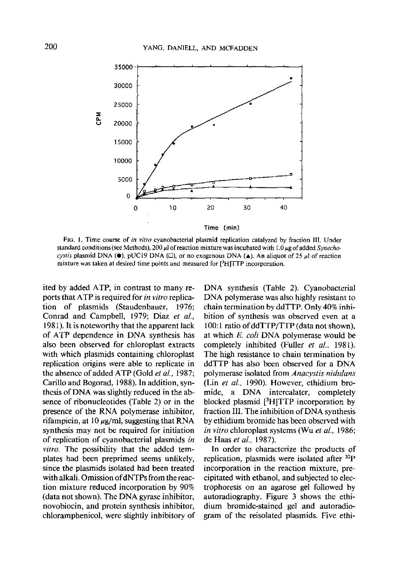

FIG. 1. Time course of in vitro cyanobacterial plasmid replication catalyzed by fraction III. Under standard conditions (see Methods), 200  $\mu$  of reaction mixture was incubated with 1.0  $\mu$ g of added *Synecho*cystis plasmid DNA ( $\bullet$ ), pUC19 DNA ( $\Box$ ), or no exogenous DNA ( $\blacktriangle$ ). An aliquot of 25  $\mu$ l of reaction mixture was taken at desired time points and measured for <sup>3</sup>HITTP incorporation.

ited by added ATP, in contrast to many reports that ATP is required for in vitro replication of plasmids (Staudenbauer, 1976; Conrad and Campbell, 1979; Diaz et al., 1981). It is noteworthy that the apparent lack of ATP dependence in DNA synthesis has also been observed for chloroplast extracts with which plasmids containing chloroplast replication origins were able to replicate in the absence of added ATP (Gold et al., 1987; Carillo and Bogorad, 1988). In addition, synthesis of DNA was slightly reduced in the absence of ribonucleotides (Table 2) or in the presence of the RNA polymerase inhibitor, rifampicin, at  $10 \mu g$ /ml, suggesting that RNA synthesis may not be required for initiation of replication of cyanobacterial plasmids in vitro. The possibility that the added templates had been preprimed seems unlikely, since the plasmids isolated had been treated with alkali. Omission of dNTPs from the reaction mixture reduced incorporation by 90% (data not shown). The DNA gyrase inhibitor, novobiocin, and protein synthesis inhibitor, chloramphenicol, were slightly inhibitory of DNA synthesis (Table 2). Cyanobacterial DNA polymerase was also highly resistant to chain termination by ddTTP. Only 40% inhibition of synthesis was observed even at a 100:1 ratio of ddTTP/TTP (data not shown), at which E. coli DNA polymerase would be completely inhibited (Fuller et al., 1981). The high resistance to chain termination by ddTTP has also been observed for a DNA polymerase isolated from Anacystis nidulans (Lin et al., 1990). However, ethidium broa DNA intercalater, completely mide. blocked plasmid  $[{}^{3}H]TTP$  incorporation by fraction III. The inhibition of DNA synthesis by ethidium bromide has been observed with *in vitro* chloroplast systems (Wu et al., 1986; de Haas et al., 1987).

In order to characterize the products of replication, plasmids were isolated after  $^{32}P$ incorporation in the reaction mixture, precipitated with ethanol, and subjected to electrophoresis on an agarose gel followed by autoradiography. Figure 3 shows the ethidium bromide-stained gel and autoradiogram of the reisolated plasmids. Five ethi-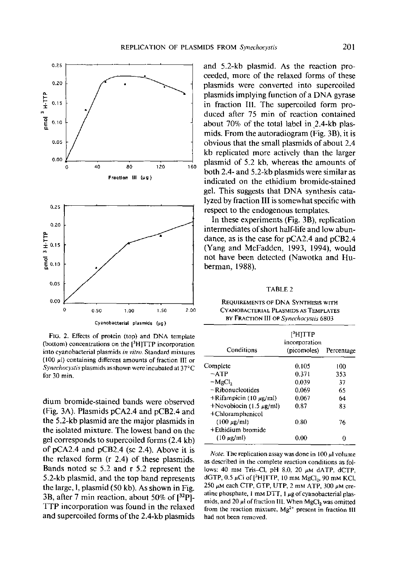

FIG. 2. Effects of protein (top) and DNA template (bottom) concentrations on the  $[{}^{3}H]TTP$  incorporation into cyanobacterial plasmids in vitro. Standard mixtures  $(100 \mu l)$  containing different amounts of fraction III or Synechocystis plasmids as shown were incubated at 37°C for 30 min.

dium bromide-stained bands were observed (Fig. 3A). Plasmids pCA2.4 and pCB2.4 and the 5.2-kb plasmid are the major plasmids in the isolated mixture. The lowest band on the gel corresponds to supercoiled forms (2.4 kb) of pCA2.4 and pCB2.4 (sc 2.4). Above it is the relaxed form (r 2.4) of these plasmids. Bands noted sc 5.2 and r 5.2 represent the 5.2-kb plasmid, and the top band represents the large, l, plasmid (50 kb). As shown in Fig. 3B, after 7 min reaction, about 50% of [32P]-TTP incorporation was found in the relaxed and supercoiled forms of the 2.4-kb plasmids and 5.2-kb plasmid. As the reaction proceeded, more of the relaxed forms of these plasmids were converted into supercoiled plasmids implying function of a DNA gyrase in fraction III. The supercoiled form produced after 75 min of reaction contained about 70% of the total label in 2.4-kb plasmids. From the autoradiogram (Fig. 3B), it is obvious that the small plasmids of about 2.4 kb replicated more actively than the larger plasmid of 5.2 kb, whereas the amounts of both 2.4- and 5.2-kb plasmids were similar as indicated on the ethidium bromide-stained gel. This suggests that DNA synthesis catalyzed by fraction III is somewhat specific with respect to the endogenous templates.

In these experiments (Fig. 3B), replication intermediates of short half-life and low abundance, as is the case for pCA2.4 and pCB2.4 (Yang and McFadden, 1993, 1994), would not have been detected (Nawotka and Huberman, 1988).

#### TABLE<sub>2</sub>

| REQUIREMENTS OF DNA SYNTHESIS WITH    |  |
|---------------------------------------|--|
| Cyanobacterial Plasmids as Templates  |  |
| BY FRACTION III OF Synechocystis 6803 |  |

| Conditions                                       | [ <sup>3</sup> H]TTP<br>incorporation<br>(picomoles) | Percentage |
|--------------------------------------------------|------------------------------------------------------|------------|
| Complete                                         | 0.105                                                | 100        |
| $-ATP$                                           | 0.371                                                | 353        |
| $-MgCl2$                                         | 0.039                                                | 37         |
| $-R$ ibonucleotides                              | 0.069                                                | 65         |
| $+$ Rifampicin (10 µg/ml)                        | 0.067                                                | 64         |
| +Novobiocin (1.5 $\mu$ g/ml)<br>+Chloramphenicol | 0.87                                                 | 83         |
| $(100 \mu g/ml)$<br>+Ethidium bromide            | 0.80                                                 | 76         |
| $(10 \text{ ug/ml})$                             | 0.00                                                 |            |

*Note.* The replication assay was done in  $100 \mu l$  volume as described in the complete reaction conditions as follows: 40 mm Tris-Cl, pH 8.0, 20  $\mu$ M dATP, dCTP, dGTP, 0.5  $\mu$ Ci of [<sup>3</sup>H]TTP, 10 mm MgCl<sub>2</sub>, 90 mm KCl, 250  $\mu$ M each CTP, GTP, UTP, 2 mM ATP, 300  $\mu$ M creatine phosphate, 1 mm DTT, 1  $\mu$ g of cyanobacterial plasmids, and 20  $\mu$ l of fraction III. When MgCl, was omitted from the reaction mixture, Mg<sup>2+</sup> present in fraction III had not been removed.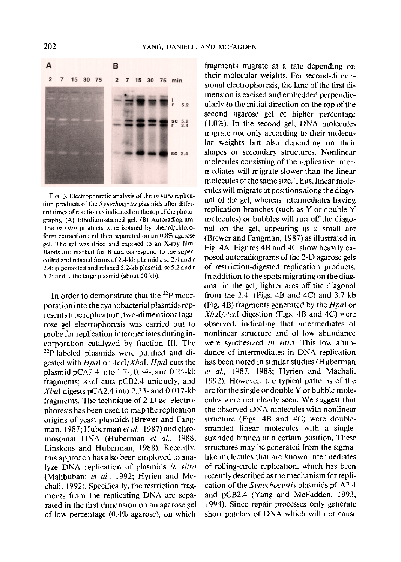

FIG. 3. Electrophoretic analysis of the in vitro replication products of the *Synechocystis* plasmids after different times of reaction as indicated on the top of the photographs, (A) Ethidium-stained gel. (B) Autoradiogram. The in vitro products were isolated by phenol/chloroform extraction and then separated on an 0.8% agarose gel. The gel was dried and exposed to an X-ray film. Bands are marked for B and correspond to the supercoiled and relaxed forms of 2.4-kb plasmids, sc 2.4 and r 2.4; supercoiled and relaxed 5.2-kb plasmid, sc 5.2 and r 5.2; and l, the large plasmid (about 50 kb).

In order to demonstrate that the <sup>32</sup>P incorporation into the cyanobacterial plasmids represents true replication, two-dimensional agarose gel electrophoresis was carried out to probe for replication intermediates during incorporation catalyzed by fraction III. The <sup>32</sup>P-labeled plasmids were purified and digested with *Hpal* or *Accl/Xbal. Hpal* cuts the plasmid  $pCA2.4$  into 1.7-, 0.34-, and 0.25-kb fragments; AccI cuts pCB2.4 uniquely, and Xbal digests pCA2.4 into 2.33- and 0.017-kb fragments. The technique of 2-D gel electrophoresis has been used to map the replication origins of yeast plasmids (Brewer and Fangman, 1987; Huberman et al., 1987) and chromosomal DNA (Huberman et al., 1988; Linskens and Huberman, 1988). Recently, this approach has also been employed to analyze DNA replication of plasmids in vitro (Mahbubani et al., 1992; Hyrien and Mechali, 1992). Specifically, the restriction fragments from the replicating DNA are separated in the first dimension on an agarose gel of low percentage  $(0.4\%$  agarose), on which fragments migrate at a rate depending on their molecular weights. For second-dimensional electrophoresis, the lane of the first dimension is excised and embedded perpendicularly to the initial direction on the top of the second agarose gel of higher percentage  $(1.0\%)$ . In the second gel, DNA molecules migrate not only according to their molecular weights but also depending on their shapes or secondary structures. Nonlinear molecules consisting of the replicative intermediates will migrate slower than the linear molecules of the same size. Thus, linear molecules will migrate at positions along the diagonal of the gel, whereas intermediates having replication branches (such as Y or double Y molecules) or bubbles will run off the diagonal on the gel, appearing as a small arc (Brewer and Fangman, 1987) as illustrated in Fig. 4A. Figures 4B and 4C show heavily exposed autoradiograms of the 2-D agarose gels of restriction-digested replication products. In addition to the spots migrating on the diagonal in the gel, lighter arcs off the diagonal from the  $2.4$ - (Figs. 4B and 4C) and  $3.7$ -kb (Fig. 4B) fragments generated by the *Hpal* or  $XbaI/Accl$  digestion (Figs. 4B and 4C) were observed, indicating that intermediates of nonlinear structure and of low abundance were synthesized in vitro. This low abundance of intermediates in DNA replication has been noted in similar studies (Huberman et al., 1987, 1988; Hyrien and Machali, 1992). However, the typical patterns of the arc for the single or double Y or bubble molecules were not clearly seen. We suggest that the observed DNA molecules with nonlinear structure (Figs. 4B and 4C) were doublestranded linear molecules with a singlestranded branch at a certain position. These structures may be generated from the sigmalike molecules that are known intermediates of rolling-circle replication, which has been recently described as the mechanism for replication of the *Synechocystis* plasmids pCA2.4 and pCB2.4 (Yang and McFadden, 1993, 1994). Since repair processes only generate short patches of DNA which will not cause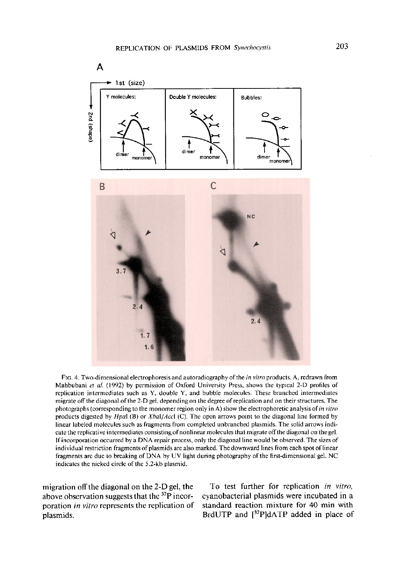

FIG. 4. Two-dimensional electrophoresis and autoradiography of the *in vitro* products. A, redrawn from Mahbubani et al. (1992) by permission of Oxford University Press, shows the typical 2-D profiles of replication intermediates such as Y, double Y, and bubble molecules. These branched intermediates migrate off the diagonal of the 2-D gel, depending on the degree of replication and on their structures. The photographs (corresponding to the monomer region only in A) show the electrophoretic analysis of in vitro products digested by  $Hpal$  (B) or  $Xbal/Accl$  (C). The open arrows point to the diagonal line formed by linear labeled molecules such as fragments from completed unbranched plasmids. The solid arrows indicate the replicative intermediates consisting of nonlinear molecules that migrate off the diagonal on the gel. If incorporation occurred by a DNA repair process, only the diagonal line would be observed. The sizes of individual restriction fragments of plasmids are also marked. The downward lines from each spot of linear fragments are due to breaking of DNA by UV light during photography of the first-dimensional gel. NC indicates the nicked circle of the 5.2-kb plasmid.

migration off the diagonal on the 2-D gel, the above observation suggests that the <sup>32</sup>P incorporation in vitro represents the replication of plasmids.

To test further for replication in vitro, cyanobacterial plasmids were incubated in a standard reaction mixture for 40 min with BrdUTP and [32P]dATP added in place of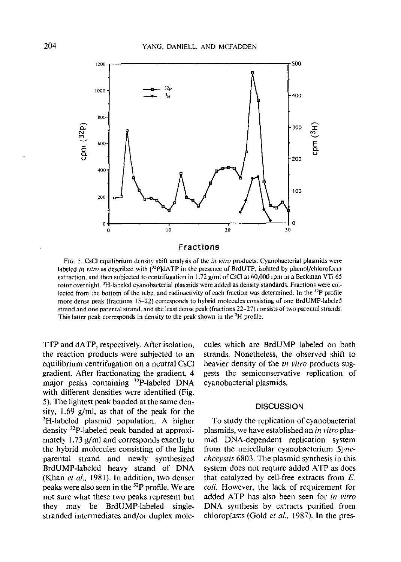

FIG. 5. CsCl equilibrium density shift analysis of the *in vitro* products. Cyanobacterial plasmids were labeled in vitro as described with [32P]dATP in the presence of BrdUTP, isolated by phenol/chloroform extraction, and then subjected to centrifugation in 1.72 g/ml of CsCl at 60,000 rpm in a Beckman VTi 65 rotor overnight. <sup>3</sup>H-labeled cyanobacterial plasmids were added as density standards. Fractions were collected from the bottom of the tube, and radioactivity of each fraction was determined. In the <sup>32</sup>P profile more dense peak (fractions 15-22) corresponds to hybrid molecules consisting of one BrdUMP-labeled strand and one parental strand, and the least dense peak (fractions  $22-27$ ) consists of two parental strands. This latter peak corresponds in density to the peak shown in the <sup>3</sup>H profile.

TTP and dATP, respectively. After isolation, the reaction products were subjected to an equilibrium centrifugation on a neutral CsCl gradient. After fractionating the gradient, 4 major peaks containing <sup>32</sup>P-labeled DNA with different densities were identified (Fig. 5). The lightest peak banded at the same density,  $1.69$  g/ml, as that of the peak for the <sup>3</sup>H-labeled plasmid population. A higher density <sup>32</sup>P-labeled peak banded at approximately 1.73 g/ml and corresponds exactly to the hybrid molecules consisting of the light parental strand and newly synthesized BrdUMP-labeled heavy strand of DNA (Khan et al., 1981). In addition, two denser peaks were also seen in the <sup>32</sup>P profile. We are not sure what these two peaks represent but may be BrdUMP-labeled they singlestranded intermediates and/or duplex molecules which are BrdUMP labeled on both strands. Nonetheless, the observed shift to heavier density of the *in vitro* products suggests the semiconservative replication of cyanobacterial plasmids.

#### **DISCUSSION**

To study the replication of cyanobacterial plasmids, we have established an in vitro plasmid DNA-dependent replication system from the unicellular cyanobacterium Syne*chocystis* 6803. The plasmid synthesis in this system does not require added ATP as does that catalyzed by cell-free extracts from  $E$ . coli. However, the lack of requirement for added ATP has also been seen for in vitro DNA synthesis by extracts purified from chloroplasts (Gold *et al.*, 1987). In the pres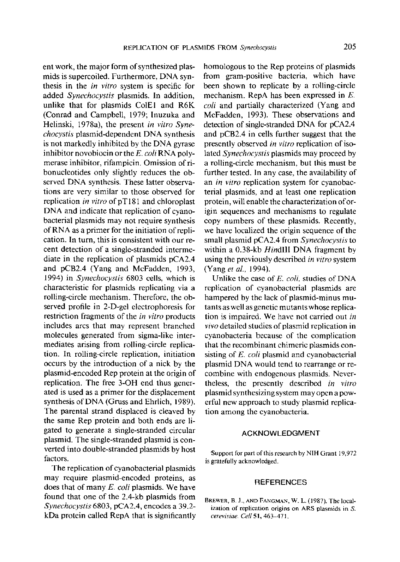ent work, the major form of synthesized plasmids is supercoiled. Furthermore, DNA synthesis in the in vitro system is specific for added Synechocystis plasmids. In addition, unlike that for plasmids ColE1 and R6K (Conrad and Campbell, 1979; Inuzuka and Helinski, 1978a), the present in vitro Synechocystis plasmid-dependent DNA synthesis is not markedly inhibited by the DNA gyrase inhibitor novobiocin or the  $E$ . coli RNA polymerase inhibitor, rifampicin. Omission of ribonucleotides only slightly reduces the observed DNA synthesis. These latter observations are very similar to those observed for replication *in vitro* of  $pT181$  and chloroplast DNA and indicate that replication of cyanobacterial plasmids may not require synthesis of RNA as a primer for the initiation of replication. In turn, this is consistent with our recent detection of a single-stranded intermediate in the replication of plasmids pCA2.4 and pCB2.4 (Yang and McFadden, 1993, 1994) in Synechocystis 6803 cells, which is characteristic for plasmids replicating via a rolling-circle mechanism. Therefore, the observed profile in 2-D-gel electrophoresis for restriction fragments of the *in vitro* products includes arcs that may represent branched molecules generated from sigma-like intermediates arising from rolling-circle replication. In rolling-circle replication, initiation occurs by the introduction of a nick by the plasmid-encoded Rep protein at the origin of replication. The free 3-OH end thus generated is used as a primer for the displacement synthesis of DNA (Gruss and Ehrlich, 1989). The parental strand displaced is cleaved by the same Rep protein and both ends are ligated to generate a single-stranded circular plasmid. The single-stranded plasmid is converted into double-stranded plasmids by host factors.

The replication of cyanobacterial plasmids may require plasmid-encoded proteins, as does that of many  $E$ . coli plasmids. We have found that one of the 2.4-kb plasmids from Synechocystis 6803, pCA2.4, encodes a 39.2kDa protein called RepA that is significantly homologous to the Rep proteins of plasmids from gram-positive bacteria, which have been shown to replicate by a rolling-circle mechanism. RepA has been expressed in  $E$ . coli and partially characterized (Yang and McFadden, 1993). These observations and detection of single-stranded DNA for pCA2.4 and pCB2.4 in cells further suggest that the presently observed in vitro replication of isolated Synechocystis plasmids may proceed by a rolling-circle mechanism, but this must be further tested. In any case, the availability of an in vitro replication system for cyanobacterial plasmids, and at least one replication protein, will enable the characterization of origin sequences and mechanisms to regulate copy numbers of these plasmids. Recently, we have localized the origin sequence of the small plasmid pCA2.4 from Synechocystis to within a 0.38-kb HindIII DNA fragment by using the previously described in vitro system (Yang et al., 1994).

Unlike the case of E. coli, studies of DNA replication of cyanobacterial plasmids are hampered by the lack of plasmid-minus mutants as well as genetic mutants whose replication is impaired. We have not carried out in vivo detailed studies of plasmid replication in cyanobacteria because of the complication that the recombinant chimeric plasmids consisting of E. coli plasmid and cyanobacterial plasmid DNA would tend to rearrange or recombine with endogenous plasmids. Nevertheless, the presently described in vitro plasmid synthesizing system may open a powerful new approach to study plasmid replication among the cyanobacteria.

#### **ACKNOWLEDGMENT**

Support for part of this research by NIH Grant 19,972 is gratefully acknowledged.

#### **REFERENCES**

BREWER, B. J., AND FANGMAN, W. L. (1987). The localization of replication origins on ARS plasmids in S. cerevisiae. Cell 51, 463-471.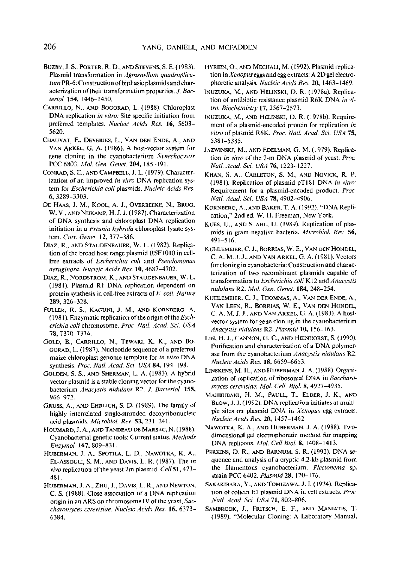- BUZBY, J. S., PORTER, R. D., AND STEVENS, S. E. (1983). Plasmid transformation in Agmenellum quadruplicatum PR-6: Construction of biphasic plasmids and characterization of their transformation properties. J. Bacteriol. 154, 1446-1450.
- CARRILLO, N., AND BOGORAD, L. (1988). Chloroplast DNA replication in vitro. Site specific initiation from preferred templates. Nucleic Acids Res. 16, 5603-5620.
- CHAUVAT, F., DEVERIES, L., VAN DEN ENDE, A., AND VAN ARKEL, G. A. (1986). A host-vector system for gene cloning in the cyanobacterium Synechocystis PCC 6803. Mol. Gen. Genet. 204, 185-191.
- CONRAD, S. E., AND CAMPBELL, J. L. (1979). Characterization of an improved in vitro DNA replication system for Escherichia coli plasmids. Nucleic Acids Res. 6, 3289-3303.
- DE HAAS, J. M., KOOL, A. J., OVERBEEKE, N., BRUG, W. V., AND NIJKAMP, H. J. J. (1987). Characterization of DNA synthesis and chloroplast DNA replication initiation in a Petunia hybrida chloroplast lysate system. Curr. Genet. 12, 377-386.
- DIAZ, R., AND STAUDENBAUER, W. L. (1982). Replication of the broad host range plasmid RSF1010 in cellfree extracts of Escherichia coli and Pseudomonas aeruginosa. Nucleic Acids Res. 10, 4687-4702.
- DIAZ, R., NORDSTROM, K., AND STAUDENBAUER, W. L. (1981). Plasmid R1 DNA replication dependent on protein synthesis in cell-free extracts of E. coli. Nature 289, 326-328.
- FULLER, R. S., KAGUNI, J. M., AND KORNBERG, A. (1981). Enzymatic replication of the origin of the Escherichia coli chromosome. Proc. Natl. Acad. Sci. USA 78, 7370-7374.
- GOLD, B., CARRILLO, N., TEWARI, K. K., AND BO-GORAD, L. (1987). Nucleotide sequence of a preferred maize chloroplast genome template for in vitro DNA synthesis. Proc. Natl. Acad. Sci. USA 84, 194-198.
- GOLDEN, S. S., AND SHERMAN, L. A. (1983). A hybrid vector plasmid is a stable cloning vector for the cyanobacterium Anacystis nidulans R2. J. Bacteriol. 155, 966-972.
- GRUSS, A., AND EHRLICH, S. D. (1989). The family of highly interrelated single-stranded deoxyribonucleic acid plasmids. Microbiol. Rev. 53, 231-241.
- HOUMARD, J. A., AND TANDEAU DE MARSAC, N. (1988). Cyanobacterial genetic tools: Current status. Methods Enzymol. 167, 809-831.
- HUBERMAN, J. A., SPOTILA, L. D., NAWOTKA, K. A., EL-ASSOULI, S. M., AND DAVIS, L. R. (1987). The in vivo replication of the yeast 2m plasmid. Cell 51, 473-481.
- HUBERMAN, J. A., ZHU, J., DAVIS, L. R., AND NEWTON, C. S. (1988). Close association of a DNA replication origin in an ARS on chromosome IV of the yeast, Saccharomyces cerevisiae. Nucleic Acids Res. 16, 6373-6384.
- HYRIEN, O., AND MECHALI, M. (1992). Plasmid replication in Xenopus eggs and egg extracts: A 2D gel electrophoretic analysis. Nucleic Acids Res. 20, 1463-1469.
- INUZUKA, M., AND HELINSKI, D. R. (1978a). Replication of antibiotic resistance plasmid R6K DNA in vitro. Biochemistry 17, 2567-2573.
- INUZUKA, M., AND HELINSKI, D. R. (1978b). Requirement of a plasmid-encoded protein for replication in vitro of plasmid R6K. Proc. Natl. Acad. Sci. USA 75, 5381-5385.
- JAZWINSKI, M., AND EDELMAN, G. M. (1979). Replication in vitro of the 2-m DNA plasmid of yeast. Proc. Natl. Acad. Sci. USA 76, 1223-1227.
- KHAN, S. A., CARLETON, S. M., AND NOVICK, R. P. (1981). Replication of plasmid pT181 DNA in vitro: Requirement for a plasmid-encoded product. Proc. Natl. Acad. Sci. USA 78, 4902-4906.
- KORNBERG, A., AND BAKER, T. A. (1992). "DNA Replication," 2nd ed. W. H. Freeman, New York.
- KUES, U., AND STAHL, U. (1989). Replication of plasmids in gram-negative bacteria. Microbiol. Rev. 56,  $491 - 516$ .
- KUHLEMEIER, C. J., BORRIAS, W. E., VAN DEN HONDEL, C. A. M. J. J., AND VAN ARKEL, G. A. (1981). Vectors for cloning in evanobacteria: Construction and characterization of two recombinant plasmids capable of transformation to Escherichia coli K12 and Anacystis nidulans R2. Mol. Gen. Genet. 184, 248-254.
- KUHLEMEIER, C. J., THOMMAS, A., VAN DER ENDE, A., VAN LEEN, R., BORRIAS, W. E., VAN DEN HONDEL, C. A. M. J. J., AND VAN ARKEL, G. A. (1983). A hostvector system for gene cloning in the cyanobacterium Anacystis nidulans R2. Plasmid 10, 156-163.
- LIN, H. J., CANNON, G. C., AND HEINHORST, S. (1990). Purification and characterization of a DNA polymerase from the cyanobacterium Anacystis nidulans R2. Nucleic Acids Res. 18, 6659-6663.
- LINSKENS, M. H., AND HUBERMAN, J. A. (1988). Organization of replication of ribosomal DNA in Saccharomyces cerevisiae. Mol. Cell. Biol. 8, 4927-4935.
- MAHBUBANI, H. M., PAULL, T., ELDER, J. K., AND BLOW, J. J. (1992). DNA replication initiates at multiple sites on plasmid DNA in Xenopus egg extracts. Nucleic Acids Res. 20, 1457-1462.
- NAWOTKA, K. A., AND HUBERMAN, J. A. (1988). Twodimensional gel electrophoretic method for mapping DNA replicons. Mol. Cell Biol. 8, 1408-1413.
- PERKINS, D. R., AND BARNUM, S. R. (1992). DNA sequence and analysis of a cryptic 4.2-kb plasmid from the filamentous cyanobacterium, Plectonema sp. strain PCC 6402. Plasmid 28, 170-176.
- SAKAKIBARA, Y., AND TOMIZAWA, J. I. (1974). Replication of colicin E1 plasmid DNA in cell extracts. Proc. Natl. Acad. Sci. USA 71, 802-806.
- SAMBROOK, J., FRITSCH, E. F., AND MANIATIS, T. (1989). "Molecular Cloning: A Laboratory Manual,